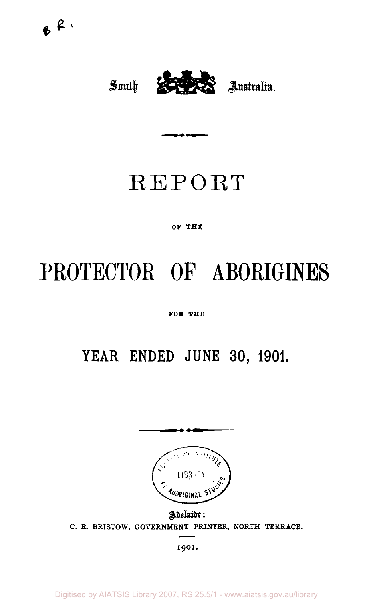

# REPORT

# **OF THE**

# **PROTECTOR OP ABORIGINES**

# **FOR THE**

# **YEAR ENDED JUNE 30, 1901.**



Adeluide: **C. E. BRISTOW, GOVERNMENT PRINTER, NORTH TERRACE.** 

**1901 .**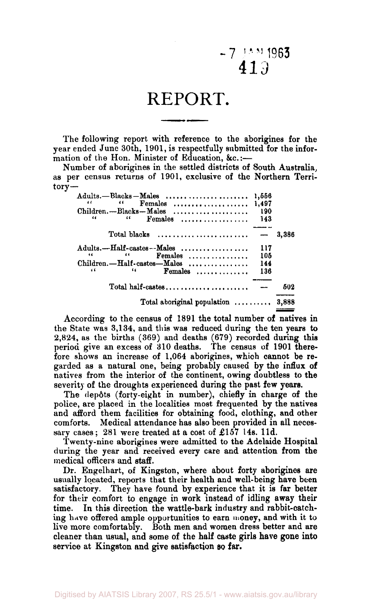# $-7$   $\frac{14M}{1963}$ 413

# REPORT.

The following report with reference to the aborigines for the year ended June 30th, 1901, is respectfully submitted for the information of the Hon. Minister of Education, &c.:-

Number of aborigines in the settled districts of South Australia; as per census returns of 1901, exclusive of the Northern Terr-  $torv -$ 

| $\cdots$<br>Females  1,497<br>$Children. - Blacks - Males$<br>$\epsilon$<br>"<br>$F$ emales | 1,556<br>190<br>143 |       |
|---------------------------------------------------------------------------------------------|---------------------|-------|
| Total blacks                                                                                |                     | 3,386 |
| Adults.--Half-castes--Males                                                                 | 117                 |       |
| Females<br>66<br>$\ddotsc$                                                                  | 105                 |       |
| Children. - Half-castes-Males                                                               | 144                 |       |
| 66<br>"<br>$F$ emales                                                                       | 136                 |       |
| Total half-castes                                                                           |                     | 502   |
| Total aboriginal population $\ldots \ldots \ldots$                                          |                     | 3,888 |

According to the census of 1891 the total number of natives in the State was 3,134, and this was reduced during the ten years to 2,824, as the births (369) and deaths (679) recorded during this period give an excess of 310 deaths. The census of 1901 therefore shows an increase of 1,064 aborigines, which cannot be regarded as a natural one, being probably caused by the influx of natives from the interior of the continent, owing doubtless to the severity of the droughts experienced during the past few years.

The depôts (forty-eight in number), chiefly in charge of the police, are placed in the localities most frequented by the natives and afford them facilities for obtaining food, clothing, and other comforts. Medical attendance has also been provided in all neces-Medical attendance has also been provided in all necessary cases; 281 were treated at a cost of £157 14s. 11d.

Twenty-nine aborigines were admitted to the Adelaide Hospital during the year and received every care and attention from the medical officers and staff.

Dr. Engelhart, of Kingston, where about forty aborigines are usually located, reports that their health and well-being have been satisfactory. They have found by experience that it is far better for their comfort to engage in work instead of idling away their time. In this direction the wattle-bark industry and rabbit-catching have offered ample opportunities to earn money, and with it to live more comfortably. Both men and women dress better and are cleaner than usual, and some of the half caste girls have gone into service at Kingston and give satisfaction so far.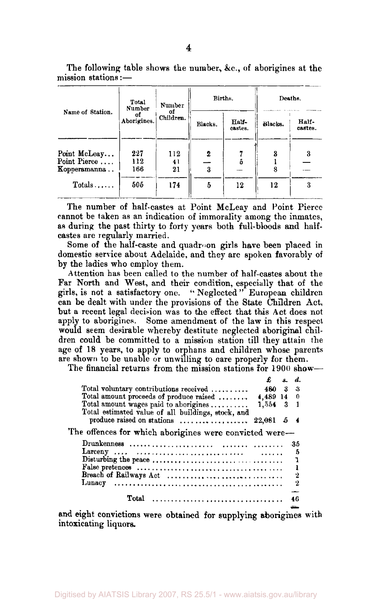The following table shows the number, &c., of aborigines at the mission stations:—  $\overline{\mathbf{r}}$  $\frac{1}{11}$ Births. Deaths.

|                                              | Total<br>Number   | Number          | Births. |                  | Deaths. |                  |
|----------------------------------------------|-------------------|-----------------|---------|------------------|---------|------------------|
| Name of Station.                             | οf<br>Aborigines. | or<br>Children. | Blacks. | Half-<br>castes. | Rlacks. | Half-<br>castes. |
| Point McLeay<br>Point Pierce<br>Kopperamanna | 227<br>112<br>166 | 112<br>41<br>21 | 2<br>3  |                  |         |                  |
| Totals                                       | 505               | 174             | 5       | 12               | 12      |                  |

The number of half-castes at Point McLeay and Point Pierce cannot be taken as an indication of immorality among the inmates, as during the past thirty to forty years both full-bloods and halfcastes are regularly married.

Some of the half-caste and quadroon girls have been placed in domestic service about Adelaide, and they are spoken favorably of by the ladies who employ them.

Attention has been called to the number of half-castes about the Far North and West, and their condition, especially that of the girls, is not a satisfactory one. " Neglected " European children can be dealt with under the provisions of the State Children Act, but a recent legal decision was to the effect that this Act does not apply to aborigines. Some amendment of the law in this respect would seem desirable whereby destitute neglected aboriginal children could be committed to a mission station till they attain the age of 18 years, to apply to orphans and children whose parents are shown to be unable or unwilling to care properly for them.

The financial returns from the mission stations for 1900 show—

|                                                                                  |              | s d.    |
|----------------------------------------------------------------------------------|--------------|---------|
| Total voluntary contributions received $\ldots$                                  | 480 3        | -3      |
| Total amount proceeds of produce raised                                          | $4,489$ 14 0 |         |
| Total amount wages paid to aborigines                                            | 1,554 3 1    |         |
| Total estimated value of all buildings, stock, and<br>produce raised on stations | 22,081 5 4   |         |
| The offences for which aborigines were convicted were-                           |              |         |
|                                                                                  |              | -35     |
|                                                                                  |              | 5       |
|                                                                                  |              |         |
|                                                                                  |              |         |
|                                                                                  |              | $\cdot$ |
|                                                                                  |              | - 2     |
| Total                                                                            |              |         |

and eight convictions were obtained for supplying aborigines with intoxicating liquors.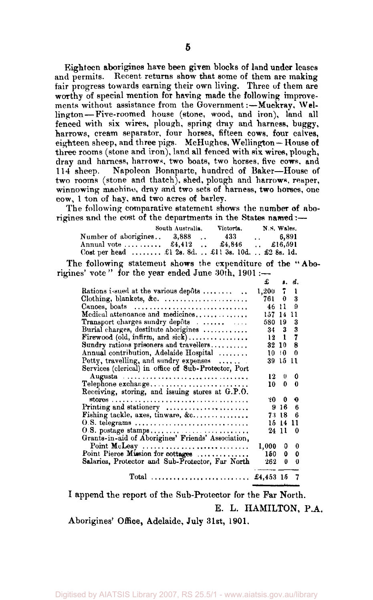Eighteen aborigines have been given blocks of land under leases and permits. Recent returns show that some of them are making fair progress towards earning their own living. Three of them are worthy of special mention for having made the following improvements without assistance from the Government: - Muckray, Wellington— Five-roomed house (stone, wood, and iron), land all fenced with six wires, plough, spring dray and harness, buggy, harrows, cream separator, four horses, fifteen cows, four calves, eighteen sheep, and three pigs. McHughes, Wellington— House of three rooms (stone and iron), land all fenced with six wires, plough, dray and harness, harrows, two boats, two horses, five cows, and 114 sheep. Napoleon Bonaparte, hundred of Baker—House of two rooms (stone and thatch), shed, plough and harrows, reaper, winnowing machine, dray and two sets of harness, two horses, one cow, 1 ton of bay, and two acres of barley.

The following comparative statement shows the number of aborigines and the cost of the departments in the States named :-

|                                                            | South Australia. | Victoria. | N.S. Wales.                   |  |  |
|------------------------------------------------------------|------------------|-----------|-------------------------------|--|--|
| Number of aborigines 3,888                                 |                  | 433       | 6.891<br><b>Sales Control</b> |  |  |
| Annual vote  £4,412  £4,846                                |                  |           | $\therefore$ £16,591          |  |  |
| Cost per head  £1 2s. 8d.  £1 1 3s. 10d. $\pounds$ 8s. 1d. |                  |           |                               |  |  |

The following statement shows the expenditure of the " Aborigines' vote " for the year ended June 30th, 1901 :—

|                                                               | £               |          | s. d. |
|---------------------------------------------------------------|-----------------|----------|-------|
| Rations issued at the various depôts                          | 1,200           | 7        | ı     |
|                                                               | 761 0           |          | 3     |
| Canoes, boats                                                 | 46 11           |          | Ω     |
| Medical attenuance and medicines                              | 157             | 14       | 11    |
| Transport charges sundry depôts                               | 580 19          |          | 3     |
| Burial charges, destitute aborigines                          | $34 \quad 3$    |          | 3     |
| Firewood (old, infirm, and $sick)$ ,                          | 12 <sub>1</sub> |          | 7     |
| Sundry rations prisoners and travellers                       | 32 10           |          | 8     |
| Annual contribution, Adelaide Hospital                        | 10:10           |          | 0     |
| Petty, travelling, and sundry expenses                        |                 | 39 15 11 |       |
| Services (clerical) in office of Sub-Protector, Port          |                 |          |       |
| Augusta                                                       | 12.             | $\bf{0}$ | 0     |
| Telephone exchange                                            | 10.             | 0        | 0     |
| Receiving, storing, and issuing stores at G.P.O.              |                 |          |       |
|                                                               | 20.             | 0        | о     |
| Printing and stationery $\dots \dots \dots \dots \dots \dots$ |                 | 9,16     | 6     |
| Fishing tackle, axes, tinware, &c                             | 73 18           |          | 6     |
| 0.S. telegrams                                                |                 | 15 14 11 |       |
|                                                               | 24 11           |          | 0     |
| Grants-in-aid of Aborigines' Friends' Association,            |                 |          |       |
| Point McLeay                                                  | 1,000           | 0.       | 0     |
| Point Pierce Mission for cottages                             | 150             | 0        | o     |
| Salaries, Protector and Sub-Protector, Far North              | 262             | $\theta$ | 0     |
| $Total$                                                       | $$4,453$ 15     |          | - 7   |

I append the report of the Sub-Protector for the Far North. E. L. HAMILTON, P.A.

Aborigines' Office, Adelaide, July 31st, 1901.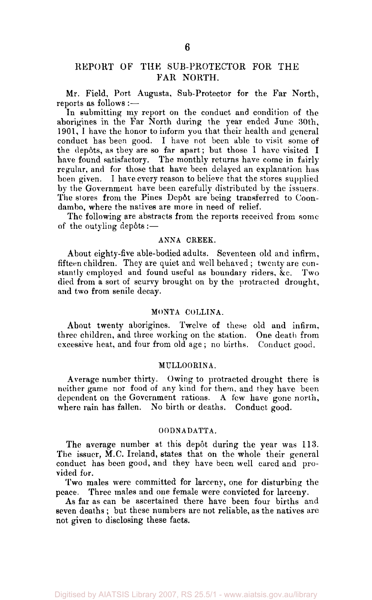# REPORT OF THE SUB-PROTECTOR FOR THE FAR NORTH.

Mr. Field, Port Augusta, Sub-Protector for the Far North, reports as follows :—

In submitting my report on the conduct and condition of the aborigines in the Far North during the year ended June 30th, 1901, I have the honor to inform you that their health and general conduct has been good. I have not been able to visit some of the depôts, as they are so far apart; but those I have visited I have found satisfactory. The monthly returns have come in fairly regular, and for those that have been delayed an explanation has been given. I have every reason to believe that the stores supplied by the Government have been carefully distributed by the issuers. The stores from the Pines Dep6t are being transferred to Coondambo, where the natives are move in need of relief.

The following are abstracts from the reports received from some of the outyling depôts :—

#### ANNA CREEK.

About eighty-five able-bodied adults. Seventeen old and infirm, fifteen children. They are quiet and well behaved ; twenty are constantly employed and found useful as boundary riders, &c. Two died from a sort of scurvy brought on by the protracted drought, and two from senile decay.

## MONTA COLLINA.

About twenty aborigines. Twelve of these old and infirm, three children, and three working on the station. One death from excessive heat, and four from old age ; no births. Conduct good.

### MULLOORINA.

Average number thirty. Owing to protracted drought there is neither game nor food of any kind for them, and they have been dependent on the Government rations. A few have gone north, where rain has fallen. No birth or deaths. Conduct good.

# OODNADATTA.

The average number at this depôt during the year was 113. The issuer, M.C. Ireland, states that on the whole their general conduct has been good, and they have been well cared and provided for.

Two males were committed for larceny, one for disturbing the peace. Three males and one female were convicted for larceny.

As far as can be ascertained there have been four births and seven deaths ; but these numbers are not reliable, as the natives are not given to disclosing these facts.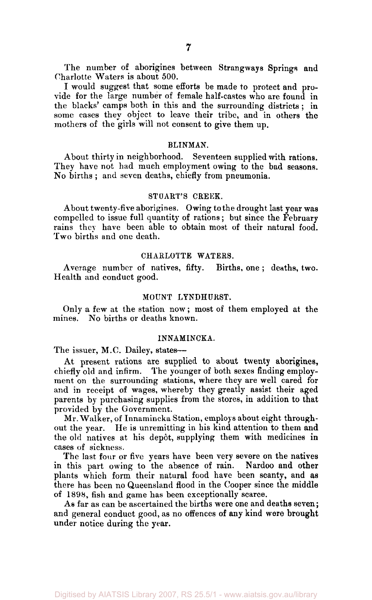The number of aborigines between Strangways Springs and Charlotte Waters is about 500.

I would suggest that some efforts be made to protect and provide for the large number of female half-castes who are found in the blacks' camps both in this and the surrounding districts ; in some cases they object to leave their tribe, and in others the mothers of the girls will not consent to give them up.

#### BLINMAN.

About thirty in neighborhood. Seventeen supplied with rations. They have not had much employment owing to the bad seasons. No births ; and seven deaths, chiefly from pneumonia.

#### STUART'S CREEK.

About twenty-five aborigines. Owing to the drought last year was compelled to issue full quantity of rations; but since the February rains they have been able to obtain most of their natural food. Two births and one death.

## CHARLOTTE WATERS.

Average number of natives, fifty. Births, one ; deaths, two. Health and conduct good.

## MOUNT LYNDHURST.

Only a few at the station now; most of them employed at the mines. No births or deaths known.

#### INNAMINCKA.

The issuer, M.C. Dailey, states—

At present rations are supplied to about twenty aborigines, chiefly old and infirm. The younger of both sexes finding employment on the surrounding stations, where they are well cared for and in receipt of wages, whereby they greatly assist their aged parents by purchasing supplies from the stores, in addition to that provided by the Government.

Mr. Walker, of Innamincka Station, employs about eight throughout the year. He is unremitting in his kind attention to them and the old natives at his depot, supplying them with medicines in cases of sickness.

The last four or five years have been very severe on the natives in this part owing to the absence of rain. Nardoo and other plants which form their natural food have been scanty, and as there has been no Queensland flood in the Cooper since the middle of 1898, fish and game has been exceptionally scarce.

As far as can be ascertained the births were one and deaths seven; and general conduct good, as no offences of any kind were brought under notice during the year.